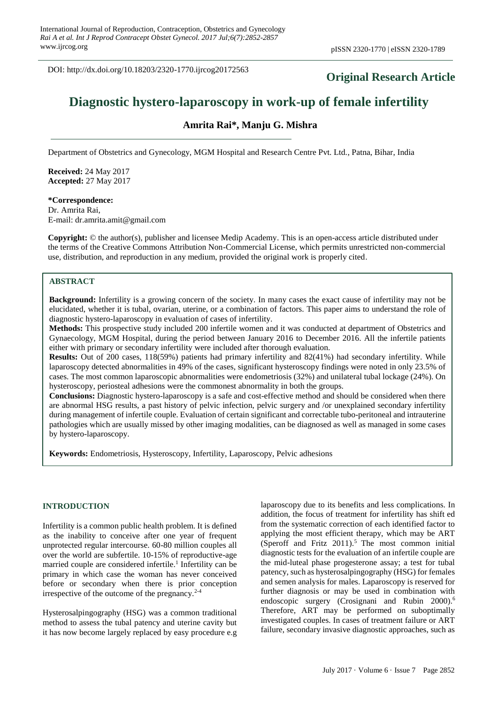DOI: http://dx.doi.org/10.18203/2320-1770.ijrcog20172563

# **Original Research Article**

# **Diagnostic hystero-laparoscopy in work-up of female infertility**

# **Amrita Rai\*, Manju G. Mishra**

Department of Obstetrics and Gynecology, MGM Hospital and Research Centre Pvt. Ltd., Patna, Bihar, India

**Received:** 24 May 2017 **Accepted:** 27 May 2017

**\*Correspondence:** Dr. Amrita Rai, E-mail: dr.amrita.amit@gmail.com

**Copyright:** © the author(s), publisher and licensee Medip Academy. This is an open-access article distributed under the terms of the Creative Commons Attribution Non-Commercial License, which permits unrestricted non-commercial use, distribution, and reproduction in any medium, provided the original work is properly cited.

### **ABSTRACT**

**Background:** Infertility is a growing concern of the society. In many cases the exact cause of infertility may not be elucidated, whether it is tubal, ovarian, uterine, or a combination of factors. This paper aims to understand the role of diagnostic hystero-laparoscopy in evaluation of cases of infertility.

**Methods:** This prospective study included 200 infertile women and it was conducted at department of Obstetrics and Gynaecology, MGM Hospital, during the period between January 2016 to December 2016. All the infertile patients either with primary or secondary infertility were included after thorough evaluation.

**Results:** Out of 200 cases, 118(59%) patients had primary infertility and 82(41%) had secondary infertility. While laparoscopy detected abnormalities in 49% of the cases, significant hysteroscopy findings were noted in only 23.5% of cases. The most common laparoscopic abnormalities were endometriosis (32%) and unilateral tubal lockage (24%). On hysteroscopy, periosteal adhesions were the commonest abnormality in both the groups.

**Conclusions:** Diagnostic hystero-laparoscopy is a safe and cost-effective method and should be considered when there are abnormal HSG results, a past history of pelvic infection, pelvic surgery and /or unexplained secondary infertility during management of infertile couple. Evaluation of certain significant and correctable tubo-peritoneal and intrauterine pathologies which are usually missed by other imaging modalities, can be diagnosed as well as managed in some cases by hystero-laparoscopy.

**Keywords:** Endometriosis, Hysteroscopy, Infertility, Laparoscopy, Pelvic adhesions

#### **INTRODUCTION**

Infertility is a common public health problem. It is defined as the inability to conceive after one year of frequent unprotected regular intercourse. 60-80 million couples all over the world are subfertile. 10-15% of reproductive-age married couple are considered infertile.<sup>1</sup> Infertility can be primary in which case the woman has never conceived before or secondary when there is prior conception irrespective of the outcome of the pregnancy.2-4

Hysterosalpingography (HSG) was a common traditional method to assess the tubal patency and uterine cavity but it has now become largely replaced by easy procedure e.g laparoscopy due to its benefits and less complications. In addition, the focus of treatment for infertility has shift ed from the systematic correction of each identified factor to applying the most efficient therapy, which may be ART (Speroff and Fritz  $2011$ ).<sup>5</sup> The most common initial diagnostic tests for the evaluation of an infertile couple are the mid-luteal phase progesterone assay; a test for tubal patency, such as hysterosalpingography (HSG) for females and semen analysis for males. Laparoscopy is reserved for further diagnosis or may be used in combination with endoscopic surgery (Crosignani and Rubin 2000).<sup>6</sup> Therefore, ART may be performed on suboptimally investigated couples. In cases of treatment failure or ART failure, secondary invasive diagnostic approaches, such as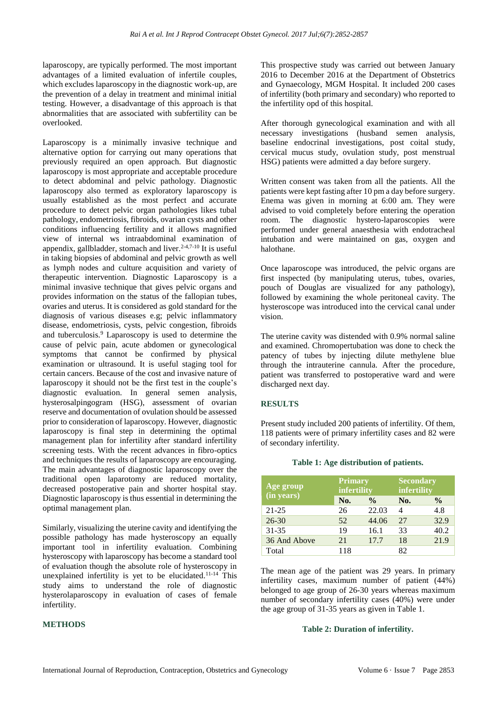laparoscopy, are typically performed. The most important advantages of a limited evaluation of infertile couples, which excludes laparoscopy in the diagnostic work-up, are the prevention of a delay in treatment and minimal initial testing. However, a disadvantage of this approach is that abnormalities that are associated with subfertility can be overlooked.

Laparoscopy is a minimally invasive technique and alternative option for carrying out many operations that previously required an open approach. But diagnostic laparoscopy is most appropriate and acceptable procedure to detect abdominal and pelvic pathology. Diagnostic laparoscopy also termed as exploratory laparoscopy is usually established as the most perfect and accurate procedure to detect pelvic organ pathologies likes tubal pathology, endometriosis, fibroids, ovarian cysts and other conditions influencing fertility and it allows magnified view of internal ws intraabdominal examination of appendix, gallbladder, stomach and liver.<sup> $2-4,7-10$ </sup> It is useful in taking biopsies of abdominal and pelvic growth as well as lymph nodes and culture acquisition and variety of therapeutic intervention. Diagnostic Laparoscopy is a minimal invasive technique that gives pelvic organs and provides information on the status of the fallopian tubes, ovaries and uterus. It is considered as gold standard for the diagnosis of various diseases e.g; pelvic inflammatory disease, endometriosis, cysts, pelvic congestion, fibroids and tuberculosis.<sup>9</sup> Laparoscopy is used to determine the cause of pelvic pain, acute abdomen or gynecological symptoms that cannot be confirmed by physical examination or ultrasound. It is useful staging tool for certain cancers. Because of the cost and invasive nature of laparoscopy it should not be the first test in the couple's diagnostic evaluation. In general semen analysis, hysterosalpingogram (HSG), assessment of ovarian reserve and documentation of ovulation should be assessed prior to consideration of laparoscopy. However, diagnostic laparoscopy is final step in determining the optimal management plan for infertility after standard infertility screening tests. With the recent advances in fibro-optics and techniques the results of laparoscopy are encouraging. The main advantages of diagnostic laparoscopy over the traditional open laparotomy are reduced mortality, decreased postoperative pain and shorter hospital stay. Diagnostic laparoscopy is thus essential in determining the optimal management plan.

Similarly, visualizing the uterine cavity and identifying the possible pathology has made hysteroscopy an equally important tool in infertility evaluation. Combining hysteroscopy with laparoscopy has become a standard tool of evaluation though the absolute role of hysteroscopy in unexplained infertility is yet to be elucidated.11-14 This study aims to understand the role of diagnostic hysterolaparoscopy in evaluation of cases of female infertility.

### **METHODS**

This prospective study was carried out between January 2016 to December 2016 at the Department of Obstetrics and Gynaecology, MGM Hospital. It included 200 cases of infertility (both primary and secondary) who reported to the infertility opd of this hospital.

After thorough gynecological examination and with all necessary investigations (husband semen analysis, baseline endocrinal investigations, post coital study, cervical mucus study, ovulation study, post menstrual HSG) patients were admitted a day before surgery.

Written consent was taken from all the patients. All the patients were kept fasting after 10 pm a day before surgery. Enema was given in morning at 6:00 am. They were advised to void completely before entering the operation room. The diagnostic hystero-laparoscopies were performed under general anaesthesia with endotracheal intubation and were maintained on gas, oxygen and halothane.

Once laparoscope was introduced, the pelvic organs are first inspected (by manipulating uterus, tubes, ovaries, pouch of Douglas are visualized for any pathology), followed by examining the whole peritoneal cavity. The hysteroscope was introduced into the cervical canal under vision.

The uterine cavity was distended with 0.9% normal saline and examined. Chromopertubation was done to check the patency of tubes by injecting dilute methylene blue through the intrauterine cannula. After the procedure, patient was transferred to postoperative ward and were discharged next day.

### **RESULTS**

Present study included 200 patients of infertility. Of them, 118 patients were of primary infertility cases and 82 were of secondary infertility.

| Age group    | <b>Primary</b><br>infertility |               | <b>Secondary</b><br>infertility |               |
|--------------|-------------------------------|---------------|---------------------------------|---------------|
| (in years)   | No.                           | $\frac{0}{0}$ | No.                             | $\frac{6}{9}$ |
| $21 - 25$    | 26                            | 22.03         | 4                               | 4.8           |
| $26 - 30$    | 52                            | 44.06         | 27                              | 32.9          |
| $31 - 35$    | 19                            | 16.1          | 33                              | 40.2          |
| 36 And Above | 21                            | 17.7          | 18                              | 21.9          |
| Total        | 118                           |               | 82.                             |               |

#### **Table 1: Age distribution of patients.**

The mean age of the patient was 29 years. In primary infertility cases, maximum number of patient (44%) belonged to age group of 26-30 years whereas maximum number of secondary infertility cases (40%) were under the age group of 31-35 years as given in Table 1.

#### **Table 2: Duration of infertility.**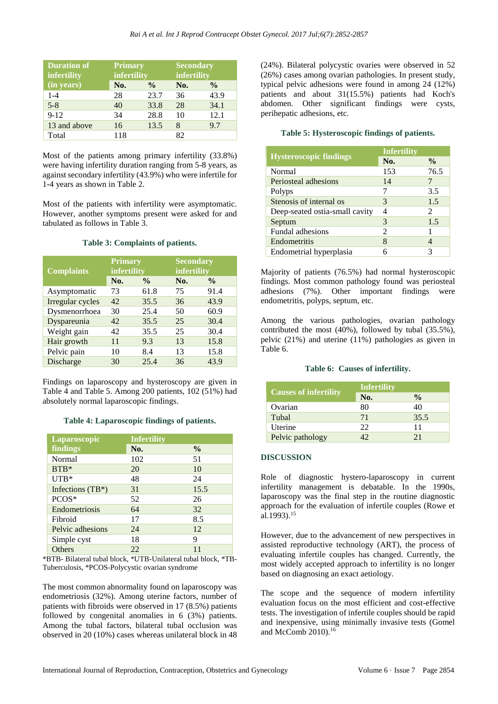| <b>Duration of</b><br>infertility | Primary<br>infertility |               |     | <b>Secondary</b><br>infertility |  |
|-----------------------------------|------------------------|---------------|-----|---------------------------------|--|
| (in years)                        | No.                    | $\frac{0}{0}$ | No. | $\frac{6}{9}$                   |  |
| $1 - 4$                           | 28                     | 23.7          | 36  | 43.9                            |  |
| $5 - 8$                           | 40                     | 33.8          | 28  | 34.1                            |  |
| $9 - 12$                          | 34                     | 28.8          | 10  | 12.1                            |  |
| 13 and above                      | 16                     | 13.5          | 8   | 9.7                             |  |
| Total                             | 118                    |               | 82  |                                 |  |

Most of the patients among primary infertility (33.8%) were having infertility duration ranging from 5-8 years, as against secondary infertility (43.9%) who were infertile for 1-4 years as shown in Table 2.

Most of the patients with infertility were asymptomatic. However, another symptoms present were asked for and tabulated as follows in Table 3.

#### **Table 3: Complaints of patients.**

| <b>Complaints</b> | <b>Primary</b><br>infertility |               |     | <b>Secondary</b><br>infertility |  |
|-------------------|-------------------------------|---------------|-----|---------------------------------|--|
|                   | No.                           | $\frac{0}{0}$ | No. | $\frac{6}{9}$                   |  |
| Asymptomatic      | 73                            | 61.8          | 75  | 91.4                            |  |
| Irregular cycles  | 42.                           | 35.5          | 36  | 43.9                            |  |
| Dysmenorrhoea     | 30                            | 25.4          | 50  | 60.9                            |  |
| Dyspareunia       | 42                            | 35.5          | 25  | 30.4                            |  |
| Weight gain       | 42                            | 35.5          | 25  | 30.4                            |  |
| Hair growth       | 11                            | 9.3           | 13  | 15.8                            |  |
| Pelvic pain       | 10                            | 8.4           | 13  | 15.8                            |  |
| Discharge         | 30                            | 25.4          | 36  | 43.9                            |  |

Findings on laparoscopy and hysteroscopy are given in Table 4 and Table 5. Among 200 patients, 102 (51%) had absolutely normal laparoscopic findings.

### **Table 4: Laparoscopic findings of patients.**

| Laparoscopic        | <b>Infertility</b> |               |
|---------------------|--------------------|---------------|
| findings            | No.                | $\frac{0}{0}$ |
| <b>Normal</b>       | 102                | 51            |
| $BTB*$              | 20                 | 10            |
| $UTB*$              | 48                 | 24            |
| Infections $(TB^*)$ | 31                 | 15.5          |
| PCOS*               | 52                 | 26            |
| Endometriosis       | 64                 | 32            |
| Fibroid             | 17                 | 8.5           |
| Pelvic adhesions    | 24                 | 12            |
| Simple cyst         | 18                 | 9             |
| Others              | 22                 | 11            |

\*BTB- Bilateral tubal block, \*UTB-Unilateral tubal block, \*TB-Tuberculosis, \*PCOS-Polycystic ovarian syndrome

The most common abnormality found on laparoscopy was endometriosis (32%). Among uterine factors, number of patients with fibroids were observed in 17 (8.5%) patients followed by congenital anomalies in 6 (3%) patients. Among the tubal factors, bilateral tubal occlusion was observed in 20 (10%) cases whereas unilateral block in 48 (24%). Bilateral polycystic ovaries were observed in 52 (26%) cases among ovarian pathologies. In present study, typical pelvic adhesions were found in among 24 (12%) patients and about 31(15.5%) patients had Koch's abdomen. Other significant findings were cysts, perihepatic adhesions, etc.

# **Table 5: Hysteroscopic findings of patients.**

|                                | <b>Infertility</b> |               |
|--------------------------------|--------------------|---------------|
| <b>Hysteroscopic findings</b>  | No.                | $\frac{6}{9}$ |
| Normal                         | 153                | 76.5          |
| Periosteal adhesions           | 14                 |               |
| Polyps                         |                    | 3.5           |
| Stenosis of internal os        | 3                  | 1.5           |
| Deep-seated ostia-small cavity | 4                  | 2             |
| Septum                         | 3                  | 1.5           |
| Fundal adhesions               | 2                  |               |
| Endometritis                   | 8                  | 4             |
| Endometrial hyperplasia        |                    | 3             |

Majority of patients (76.5%) had normal hysteroscopic findings. Most common pathology found was periosteal adhesions (7%). Other important findings were endometritis, polyps, septum, etc.

Among the various pathologies, ovarian pathology contributed the most (40%), followed by tubal (35.5%), pelvic (21%) and uterine (11%) pathologies as given in Table 6.

### **Table 6: Causes of infertility.**

|                              | Infertility     |               |  |
|------------------------------|-----------------|---------------|--|
| <b>Causes of infertility</b> | No.             | $\frac{0}{0}$ |  |
| Ovarian                      | 80              | 40            |  |
| Tubal                        | 71              | 35.5          |  |
| Uterine                      | 22              | 11            |  |
| Pelvic pathology             | 12 <sup>1</sup> | 21            |  |

### **DISCUSSION**

Role of diagnostic hystero-laparoscopy in current infertility management is debatable. In the 1990s, laparoscopy was the final step in the routine diagnostic approach for the evaluation of infertile couples (Rowe et al.1993).<sup>15</sup>

However, due to the advancement of new perspectives in assisted reproductive technology (ART), the process of evaluating infertile couples has changed. Currently, the most widely accepted approach to infertility is no longer based on diagnosing an exact aetiology.

The scope and the sequence of modern infertility evaluation focus on the most efficient and cost-effective tests. The investigation of infertile couples should be rapid and inexpensive, using minimally invasive tests (Gomel and McComb 2010).16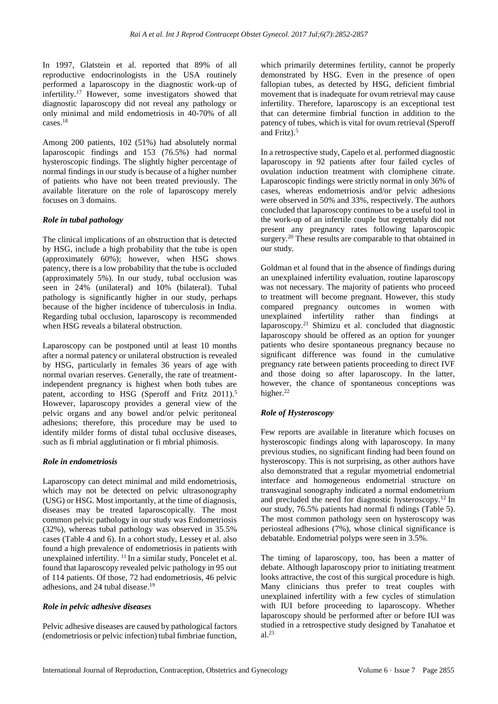In 1997, Glatstein et al. reported that 89% of all reproductive endocrinologists in the USA routinely performed a laparoscopy in the diagnostic work-up of infertility.<sup>17</sup> However, some investigators showed that diagnostic laparoscopy did not reveal any pathology or only minimal and mild endometriosis in 40-70% of all cases.<sup>18</sup>

Among 200 patients, 102 (51%) had absolutely normal laparoscopic findings and 153 (76.5%) had normal hysteroscopic findings. The slightly higher percentage of normal findings in our study is because of a higher number of patients who have not been treated previously. The available literature on the role of laparoscopy merely focuses on 3 domains.

### *Role in tubal pathology*

The clinical implications of an obstruction that is detected by HSG, include a high probability that the tube is open (approximately 60%); however, when HSG shows patency, there is a low probability that the tube is occluded (approximately 5%). In our study, tubal occlusion was seen in 24% (unilateral) and 10% (bilateral). Tubal pathology is significantly higher in our study, perhaps because of the higher incidence of tuberculosis in India. Regarding tubal occlusion, laparoscopy is recommended when HSG reveals a bilateral obstruction.

Laparoscopy can be postponed until at least 10 months after a normal patency or unilateral obstruction is revealed by HSG, particularly in females 36 years of age with normal ovarian reserves. Generally, the rate of treatmentindependent pregnancy is highest when both tubes are patent, according to HSG (Speroff and Fritz 2011).<sup>5</sup> However, laparoscopy provides a general view of the pelvic organs and any bowel and/or pelvic peritoneal adhesions; therefore, this procedure may be used to identify milder forms of distal tubal occlusive diseases, such as fi mbrial agglutination or fi mbrial phimosis.

### *Role in endometriosis*

Laparoscopy can detect minimal and mild endometriosis, which may not be detected on pelvic ultrasonography (USG) or HSG. Most importantly, at the time of diagnosis, diseases may be treated laparoscopically. The most common pelvic pathology in our study was Endometriosis (32%), whereas tubal pathology was observed in 35.5% cases (Table 4 and 6). In a cohort study, Lessey et al. also found a high prevalence of endometriosis in patients with unexplained infertility.  $\frac{11}{10}$  In a similar study, Poncelet et al. found that laparoscopy revealed pelvic pathology in 95 out of 114 patients. Of those, 72 had endometriosis, 46 pelvic adhesions, and 24 tubal disease.<sup>19</sup>

### *Role in pelvic adhesive diseases*

Pelvic adhesive diseases are caused by pathological factors (endometriosis or pelvic infection) tubal fimbriae function, which primarily determines fertility, cannot be properly demonstrated by HSG. Even in the presence of open fallopian tubes, as detected by HSG, deficient fimbrial movement that is inadequate for ovum retrieval may cause infertility. Therefore, laparoscopy is an exceptional test that can determine fimbrial function in addition to the patency of tubes, which is vital for ovum retrieval (Speroff and Fritz).<sup>5</sup>

In a retrospective study, Capelo et al. performed diagnostic laparoscopy in 92 patients after four failed cycles of ovulation induction treatment with clomiphene citrate. Laparoscopic findings were strictly normal in only 36% of cases, whereas endometriosis and/or pelvic adhesions were observed in 50% and 33%, respectively. The authors concluded that laparoscopy continues to be a useful tool in the work-up of an infertile couple but regrettably did not present any pregnancy rates following laparoscopic surgery.<sup>20</sup> These results are comparable to that obtained in our study.

Goldman et al found that in the absence of findings during an unexplained infertility evaluation, routine laparoscopy was not necessary. The majority of patients who proceed to treatment will become pregnant. However, this study compared pregnancy outcomes in women with unexplained infertility rather than findings at laparoscopy.<sup>21</sup> Shimizu et al. concluded that diagnostic laparoscopy should be offered as an option for younger patients who desire spontaneous pregnancy because no significant difference was found in the cumulative pregnancy rate between patients proceeding to direct IVF and those doing so after laparoscopy. In the latter, however, the chance of spontaneous conceptions was higher.<sup>22</sup>

# *Role of Hysteroscopy*

Few reports are available in literature which focuses on hysteroscopic findings along with laparoscopy. In many previous studies, no significant finding had been found on hysteroscopy. This is not surprising, as other authors have also demonstrated that a regular myometrial endometrial interface and homogeneous endometrial structure on transvaginal sonography indicated a normal endometrium and precluded the need for diagnostic hysteroscopy.<sup>12</sup> In our study, 76.5% patients had normal fi ndings (Table 5). The most common pathology seen on hysteroscopy was periosteal adhesions (7%), whose clinical significance is debatable. Endometrial polyps were seen in 3.5%.

The timing of laparoscopy, too, has been a matter of debate. Although laparoscopy prior to initiating treatment looks attractive, the cost of this surgical procedure is high. Many clinicians thus prefer to treat couples with unexplained infertility with a few cycles of stimulation with IUI before proceeding to laparoscopy. Whether laparoscopy should be performed after or before IUI was studied in a retrospective study designed by Tanahatoe et al. 23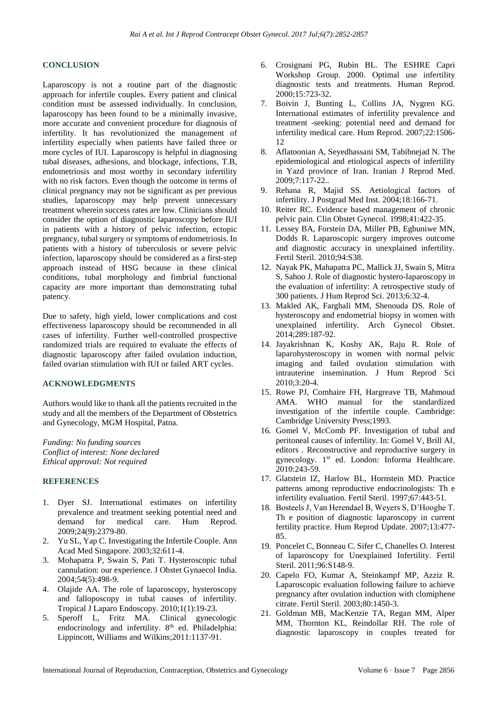# **CONCLUSION**

Laparoscopy is not a routine part of the diagnostic approach for infertile couples. Every patient and clinical condition must be assessed individually. In conclusion, laparoscopy has been found to be a minimally invasive, more accurate and convenient procedure for diagnosis of infertility. It has revolutionized the management of infertility especially when patients have failed three or more cycles of IUI. Laparoscopy is helpful in diagnosing tubal diseases, adhesions, and blockage, infections, T.B, endometriosis and most worthy in secondary infertility with no risk factors. Even though the outcome in terms of clinical pregnancy may not be significant as per previous studies, laparoscopy may help prevent unnecessary treatment wherein success rates are low. Clinicians should consider the option of diagnostic laparoscopy before IUI in patients with a history of pelvic infection, ectopic pregnancy, tubal surgery or symptoms of endometriosis. In patients with a history of tuberculosis or severe pelvic infection, laparoscopy should be considered as a first-step approach instead of HSG because in these clinical conditions, tubal morphology and fimbrial functional capacity are more important than demonstrating tubal patency.

Due to safety, high yield, lower complications and cost effectiveness laparoscopy should be recommended in all cases of infertility. Further well-controlled prospective randomized trials are required to evaluate the effects of diagnostic laparoscopy after failed ovulation induction, failed ovarian stimulation with IUI or failed ART cycles.

### **ACKNOWLEDGMENTS**

Authors would like to thank all the patients recruited in the study and all the members of the Department of Obstetrics and Gynecology, MGM Hospital, Patna.

*Funding: No funding sources Conflict of interest: None declared Ethical approval: Not required*

#### **REFERENCES**

- 1. Dyer SJ. International estimates on infertility prevalence and treatment seeking potential need and demand for medical care. Hum Reprod. 2009;24(9):2379-80.
- 2. Yu SL, Yap C. Investigating the Infertile Couple. Ann Acad Med Singapore. 2003;32:611-4.
- 3. Mohapatra P, Swain S, Pati T. Hysteroscopic tubal cannulation: our experience. J Obstet Gynaecol India. 2004;54(5):498-9.
- 4. Olajide AA. The role of laparoscopy, hysteroscopy and falloposcopy in tubal causes of infertility. Tropical J Laparo Endoscopy. 2010;1(1):19-23.
- 5. Speroff L, Fritz MA. Clinical gynecologic endocrinology and infertility. 8<sup>th</sup> ed. Philadelphia: Lippincott, Williams and Wilkins;2011:1137-91.
- 6. Crosignani PG, Rubin BL. The ESHRE Capri Workshop Group. 2000. Optimal use infertility diagnostic tests and treatments. Human Reprod. 2000;15:723-32.
- 7. Boivin J, Bunting L, Collins JA, Nygren KG. International estimates of infertility prevalence and treatment -seeking: potential need and demand for infertility medical care. Hum Reprod. 2007;22:1506-  $12$
- 8. Aflatoonian A, Seyedhassani SM, Tabibnejad N. The epidemiological and etiological aspects of infertility in Yazd province of Iran. Iranian J Reprod Med. 2009;7:117-22..
- 9. Rehana R, Majid SS. Aetiological factors of infertility. J Postgrad Med Inst. 2004;18:166-71.
- 10. Reiter RC. Evidence based management of chronic pelvic pain. Clin Obstet Gynecol. 1998;41:422-35.
- 11. Lessey BA, Forstein DA, Miller PB, Egbuniwe MN, Dodds R. Laparoscopic surgery improves outcome and diagnostic accuracy in unexplained infertility. Fertil Steril. 2010;94:S38.
- 12. Nayak PK, Mahapatra PC, Mallick JJ, Swain S, Mitra S, Sahoo J. Role of diagnostic hystero-laparoscopy in the evaluation of infertility: A retrospective study of 300 patients. J Hum Reprod Sci. 2013;6:32-4.
- 13. Makled AK, Farghali MM, Shenouda DS. Role of hysteroscopy and endometrial biopsy in women with unexplained infertility. Arch Gynecol Obstet. 2014;289:187-92.
- 14. Jayakrishnan K, Koshy AK, Raju R. Role of laparohysteroscopy in women with normal pelvic imaging and failed ovulation stimulation with intrauterine insemination. J Hum Reprod Sci 2010;3:20-4.
- 15. Rowe PJ, Comhaire FH, Hargreave TB, Mahmoud AMA. WHO manual for the standardized investigation of the infertile couple. Cambridge: Cambridge University Press;1993.
- 16. Gomel V, McComb PF. Investigation of tubal and peritoneal causes of infertility. In: Gomel V, Brill AI, editors . Reconstructive and reproductive surgery in gynecology. 1st ed. London: Informa Healthcare. 2010:243-59.
- 17. Glatstein IZ, Harlow BL, Hornstein MD. Practice patterns among reproductive endocrinologists: Th e infertility evaluation. Fertil Steril. 1997;67:443-51.
- 18. Bosteels J, Van Herendael B, Weyers S, D'Hooghe T. Th e position of diagnostic laparoscopy in current fertility practice. Hum Reprod Update. 2007;13:477- 85.
- 19. Poncelet C, Bonneau C. Sifer C, Chanelles O. Interest of laparoscopy for Unexplained Infertility. Fertil Steril. 2011;96:S148-9.
- 20. Capelo FO, Kumar A, Steinkampf MP, Azziz R. Laparoscopic evaluation following failure to achieve pregnancy after ovulation induction with clomiphene citrate. Fertil Steril. 2003;80:1450-3.
- 21. Goldman MB, MacKenzie TA, Regan MM, Alper MM, Thornton KL, Reindollar RH. The role of diagnostic laparoscopy in couples treated for